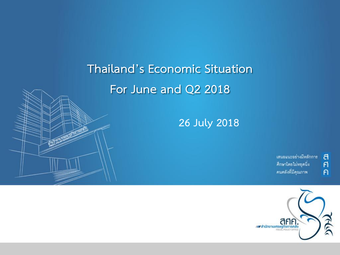# **Thailand's Economic Situation For June and Q2 2018**

**26 July 2018**

เสนอแนะอย่างมีหลักการ คึกษาโดยไม่หยุดนิ่ง คนคลังที่มีคุณภาพ

ิศ<br>ศ

 $\overline{P}$ 

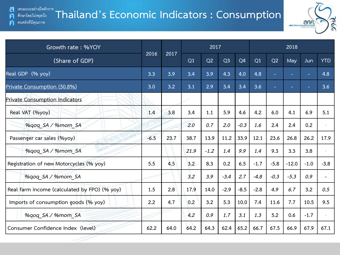a เสนอแนะอย่างมีหลักการ

 $\mathsf{F}$ 

 $\mathsf{P}$ 

### **Thailand's Economic Indicators : Consumption** ศึกษาโดยไม่หยุดนึง คนคลังที่มีคุณภาพ



| Growth rate: %YOY                            |        | 2017<br>2017 |      |        |                |        |        |        | 2018    |        |            |  |  |
|----------------------------------------------|--------|--------------|------|--------|----------------|--------|--------|--------|---------|--------|------------|--|--|
| (Share of GDP)                               | 2016   |              | Q1   | Q2     | Q <sub>3</sub> | Q4     | Q1     | Q2     | May     | Jun    | <b>YTD</b> |  |  |
| Real GDP (% yoy)                             | 3.3    | 3.9          | 3.4  | 3.9    | 4.3            | 4.0    | 4.8    | н      |         |        | 4.8        |  |  |
| Private Consumption (50.8%)                  | 3.0    | 3.2          | 3.1  | 2.9    | 3.4            | 3.4    | 3.6    |        |         |        | 3.6        |  |  |
| <b>Private Consumption Indicators</b>        |        |              |      |        |                |        |        |        |         |        |            |  |  |
| Real VAT (%yoy)                              | 1.4    | 3.8          | 3.4  | 1.1    | 5.9            | 4.6    | 4.2    | 6.0    | 4.1     | 6.9    | 5.1        |  |  |
| %qoq_SA / %mom_SA                            |        |              | 2.0  | 0.7    | 2.0            | $-0.3$ | 1.6    | 2.4    | 2,4     | 0.2    |            |  |  |
| Passenger car sales (%yoy)                   | $-6.5$ | 23.7         | 38.7 | 13.9   | 11.2           | 33.9   | 12.1   | 23.6   | 26.8    | 26.2   | 17.9       |  |  |
| %qoq SA / %mom SA                            |        |              | 21.9 | $-1.2$ | 1.4            | 9.9    | 1.4    | 9.3    | 3.3     | 3.8    |            |  |  |
| Registration of new Motorcycles (% yoy)      | 5.5    | 4.5          | 3.2  | 8.3    | 0.2            | 6.5    | $-1.7$ | $-5.8$ | $-12.0$ | $-1.0$ | $-3.8$     |  |  |
| %gog SA / %mom SA                            |        |              | 3.2  | 3.9    | $-3.4$         | 2.7    | $-4.8$ | $-0.3$ | $-5.3$  | 0.9    |            |  |  |
| Real farm income (calculated by FPO) (% yoy) | 1.5    | 2.8          | 17.9 | 14.0   | $-2.9$         | $-8.5$ | $-2.8$ | 4.9    | 6.7     | 3.2    | 0.5        |  |  |
| Imports of consumption goods (% yoy)         | 2.2    | 4.7          | 0.2  | 3.2    | 5.3            | 10.0   | 7.4    | 11.6   | 7.7     | 10.5   | 9.5        |  |  |
| %gog SA / %mom SA                            |        |              | 4.2  | 0.9    | 1.7            | 3.1    | 1.3    | 5.2    | 0.6     | $-1.7$ |            |  |  |
| Consumer Confidence Index (level)            | 62.2   | 64.0         | 64.2 | 64.3   | 62.4           | 65.2   | 66.7   | 67.5   | 66.9    | 67.9   | 67.1       |  |  |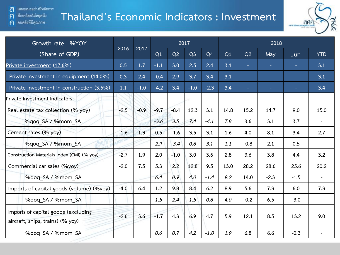คนคลังที่มีคุณภาพ

 $\mathsf{F}$ 

 $\mathsf{P}$ 

## **Thailand's Economic Indicators : Investment**



| Growth rate: %YOY                                                       |                |        |        |        | 2017           |                |      |        | 2018   |        |            |
|-------------------------------------------------------------------------|----------------|--------|--------|--------|----------------|----------------|------|--------|--------|--------|------------|
| (Share of GDP)                                                          | 2016           | 2017   | Q1     | Q2     | Q <sub>3</sub> | Q <sub>4</sub> | Q1   | Q2     | May    | Jun    | <b>YTD</b> |
| Private investment (17.6%)                                              | 0.5            | 1.7    | $-1.1$ | 3.0    | 2.5            | 2.4            | 3.1  | ÷      | ÷.     | ÷      | 3.1        |
| Private investment in equipment (14.0%)                                 | 0.3            | 2.4    | $-0.4$ | 2.9    | 3.7            | 3.4            | 3.1  | $\sim$ | ÷      | ٠      | 3.1        |
| Private investment in construction (3.5%)                               | 1.1            | $-1.0$ | $-4.2$ | 3.4    | $-1.0$         | $-2.3$         | 3.4  | ÷      | $\sim$ |        | 3.4        |
| Private Investment Indicators                                           |                |        |        |        |                |                |      |        |        |        |            |
| Real estate tax collection (% yoy)                                      | $-2.5$         | $-0.9$ | $-9.7$ | $-8.4$ | 12.3           | 3.1            | 14.8 | 15.2   | 14.7   | 9.0    | 15.0       |
| %gog SA / %mom SA                                                       |                |        | $-3.6$ | 3.5    | 7.4            | $-4.1$         | 7.8  | 3.6    | 3.1    | 3.7    |            |
| Cement sales (% yoy)                                                    | $-1.6$         | 1.3    | 0.5    | $-1.6$ | 3.5            | 3.1            | 1.6  | 4.0    | 8.1    | 3.4    | 2.7        |
| %gog SA / %mom SA                                                       | <b>VOT COR</b> |        | 2.9    | $-3.4$ | 0.6            | 3.1            | 1.1  | $-0.8$ | 2.1    | 0.5    |            |
| Construction Materials Index (CMI) (% yoy)                              | $-2.7$         | 1.9    | 2.0    | $-1.0$ | 3.0            | 3.6            | 2.8  | 3.6    | 3.8    | 4.4    | 3.2        |
| Commercial car sales (%yoy)                                             | $-2.0$         | 7.5    | 5.3    | 2.2    | 12.8           | 9.5            | 13.0 | 28.2   | 28.6   | 25.6   | 20.2       |
| %gog SA / %mom SA                                                       |                |        | 6.4    | 0.9    | 4.0            | $-1.4$         | 9.2  | 14.0   | $-2.3$ | $-1.5$ |            |
| Imports of capital goods (volume) (%yoy)                                | $-4.0$         | 6.4    | 1.2    | 9.8    | 8.4            | 6.2            | 8.9  | 5.6    | 7.3    | 6.0    | 7.3        |
| %gog SA / %mom SA                                                       |                |        | 1.5    | 2.4    | 1.5            | 0.6            | 4.0  | $-0.2$ | 6.5    | $-3.0$ |            |
| Imports of capital goods (excluding<br>aircraft, ships, trains) (% yoy) | $-2.6$         | 3.6    | $-1.7$ | 4.3    | 6.9            | 4.7            | 5.9  | 12.1   | 8.5    | 13.2   | 9.0        |
| %qoq SA / %mom SA                                                       |                |        | 0.6    | 0.7    | 4.2            | $-1.0$         | 1.9  | 6.8    | 6.6    | $-0.3$ |            |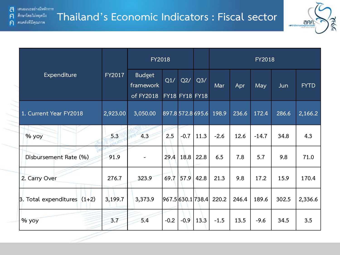คนคลังที่มีคุณภาพ

 $\mathsf{F}$ 

 $\mathsf{P}$ 



|                                      |          |                            | <b>FY2018</b> |        |                       |                           |       | <b>FY2018</b> |       |             |
|--------------------------------------|----------|----------------------------|---------------|--------|-----------------------|---------------------------|-------|---------------|-------|-------------|
| Expenditure                          | FY2017   | <b>Budget</b><br>framework | Q1/           | Q2/    | Q3/                   | Mar                       | Apr   | May           | Jun   | <b>FYTD</b> |
|                                      |          | of FY2018                  |               |        | <b>FY18 FY18 FY18</b> |                           |       |               |       |             |
| 1. Current Year FY2018               | 2,923.00 | 3,050.00                   |               |        | 897.8 572.8 695.6     | 198.9                     | 236.6 | 172.4         | 286.6 | 2,166.2     |
| % yoy                                | 5.3      | 4.3                        | 2.5           | $-0.7$ | 11.3                  | $-2.6$                    | 12.6  | $-14.7$       | 34.8  | 4.3         |
| Disbursement Rate (%)                | 91.9     |                            | 29.4          | 18.8   | 22.8                  | 6.5                       | 7.8   | 5.7           | 9.8   | 71.0        |
| 2. Carry Over                        | 276.7    | 323.9                      | 69.7          | 57.9   | 42.8                  | 21.3                      | 9.8   | 17.2          | 15.9  | 170.4       |
| $\beta$ . Total expenditures $(1+2)$ | 3,199.7  | 3,373.9                    |               |        |                       | 967.5  630.1  738.4 220.2 | 246.4 | 189.6         | 302.5 | 2,336.6     |
| $%$ yoy                              | 3.7      | 5.4                        | $-0.2$        | $-0.9$ | 13.3                  | $-1.5$                    | 13.5  | $-9.6$        | 34.5  | 3.5         |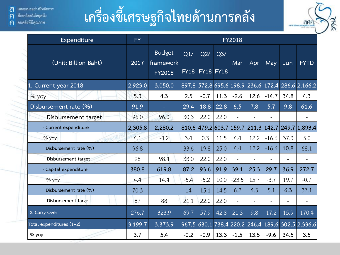# **เครื่องชี้เศรษฐกิจไทยด้านการคลัง**



| Expenditure              | <b>FY</b> | <b>FY2018</b>                               |        |                         |                |         |      |            |      |                                                   |  |  |  |
|--------------------------|-----------|---------------------------------------------|--------|-------------------------|----------------|---------|------|------------|------|---------------------------------------------------|--|--|--|
| (Unit: Billion Baht)     | 2017      | <b>Budget</b><br>framework<br><b>FY2018</b> | Q1/    | Q2/<br>FY18 FY18 FY18   | Q <sub>3</sub> | Mar     | Apr  | <b>May</b> | Jun  | <b>FYTD</b>                                       |  |  |  |
| 1. Current year 2018     | 2,923.0   | 3,050.0                                     |        |                         |                |         |      |            |      | 897.8 572.8 695.6 198.9 236.6 172.4 286.6 2,166.2 |  |  |  |
| % yoy                    | 5.3       | 4.3                                         | 2.5    | $-0.7$                  | 11.3           | $-2.6$  | 12.6 | $-14.7$    | 34.8 | 4.3                                               |  |  |  |
| Disbursement rate (%)    | 91.9      |                                             | 29.4   | 18.8                    | 22.8           | 6.5     | 7.8  | 5.7        | 9.8  | 61.6                                              |  |  |  |
| Disbursement target      | 96.0      | 96.0                                        | 30.3   | 22.0                    | 22.0           |         |      |            |      |                                                   |  |  |  |
| - Current expenditure    | 2,305.8   | 2,280.2                                     |        | 810.6 479.2 603.7 159.7 |                |         |      |            |      | 211.3 142.7 249.7 1,893.4                         |  |  |  |
| % yoy                    | 4.1       | $-4.2$                                      | 3.4    | 0.3                     | 11.5           | 4.4     | 12.2 | $-16.6$    | 37.3 | 5.0                                               |  |  |  |
| Disbursement rate (%)    | 96.8      |                                             | 33.6   | 19.8                    | 25.0           | 4.4     | 12.2 | $-16.6$    | 10.8 | 68.1                                              |  |  |  |
| Disbursement target      | 98        | 98.4                                        | 33.0   | 22.0                    | 22.0           |         |      |            |      |                                                   |  |  |  |
| - Capital expenditure    | 380.8     | 619.8                                       | 87.2   | 93.6                    | 91.9           | 39.1    | 25.3 | 29.7       | 36.9 | 272.7                                             |  |  |  |
| $%$ yoy                  | 4.4       | 14.4                                        | $-5.4$ | $-5.2$                  | 10.0           | $-23.5$ | 15.7 | $-3.7$     | 19.7 | $-0.7$                                            |  |  |  |
| Disbursement rate (%)    | 70.3      |                                             | 14     | 15.1                    | 14.5           | 6.2     | 4.3  | 5.1        | 6.3  | 37.1                                              |  |  |  |
| Disbursement target      | 87        | 88                                          | 21.1   | 22.0                    | 22.0           |         |      |            |      |                                                   |  |  |  |
| 2. Carry Over            | 276.7     | 323.9                                       | 69.7   | 57.9                    | 42.8           | 21.3    | 9.8  | 17.2       | 15.9 | 170.4                                             |  |  |  |
| Total expenditures (1+2) | 3,199.7   | 3,373.9                                     |        |                         |                |         |      |            |      | 967.5 630.1 738.4 220.2 246.4 189.6 302.5 2,336.6 |  |  |  |
| $%$ yoy                  | 3.7       | 5.4                                         | $-0.2$ | $-0.9$                  | 13.3           | $-1.5$  | 13.5 | $-9.6$     | 34.5 | 3.5                                               |  |  |  |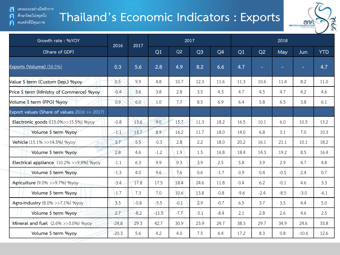เสนอแนะอย่างมีหลักการ a

#### ศึกษาโดยไม่หยุดนึง  $\mathsf{F}$

คนคลังที่มีคุณภาพ  $\mathsf{P}$ 

# **Thailand's Economic Indicators : Exports**



| Growth rate: %YOY                            | 2017<br>2016<br>2017 |        |         |        |                |                |        | 2018   |        |         |            |  |  |  |
|----------------------------------------------|----------------------|--------|---------|--------|----------------|----------------|--------|--------|--------|---------|------------|--|--|--|
| (Share of GDP)                               |                      |        | Q1      | Q2     | Q <sub>3</sub> | Q <sub>4</sub> | Q1     | Q2     | May    | Jun     | <b>YTD</b> |  |  |  |
| Exports (Volume) (58.5%)                     | 0.3                  | 5.6    | 2.8     | 4.9    | 8.2            | 6.6            | 4.7    | ٠      | н      | ٠       | 4.7        |  |  |  |
| Value \$ term (Custom Dep.) %yoy             | 0.5                  | 9.9    | 4.8     | 10.7   | 12.3           | 11.6           | 11.3   | 10.6   | 11.4   | 8.2     | 11.0       |  |  |  |
| Price \$ term (Ministry of Commerce) %yoy    | $-0.4$               | 3.6    | 3.8     | 2.8    | 3.5            | 4.3            | 4.7    | 4.5    | 4.7    | 4.2     | 4.6        |  |  |  |
| Volume \$ term (FPO) %yoy                    | 0.9                  | 6.0    | 1.0     | 7.7    | 8.5            | 6.9            | 6.4    | 5.8    | 6.5    | 3.8     | 6.1        |  |  |  |
| Export values (Share of values 2016 >> 2017) |                      |        |         |        |                |                |        |        |        |         |            |  |  |  |
| Electronic goods ((15.0%>>15.5%) %yoy        | $-0.8$               | 13.6   | 9.0     | 15.7   | 11.3           | 18.2           | 16.5   | 10.1   | 6.0    | 10.5    | 13.2       |  |  |  |
| Volume \$ term %yoy                          | $-1.1$               | 13.7   | 8.9     | 16.2   | 11.7           | 18.0           | 14.0   | 6.8    | 3.1    | 7.0     | 10.3       |  |  |  |
| Vehicle (15.1% >>14.5%) %yoy                 | 3.7                  | 5.5    | $-0.3$  | 2.8    | 2.2            | 18.0           | 20.2   | 16.1   | 21.1   | 10.1    | 18.2       |  |  |  |
| Volume \$ term %yoy                          | 2.8                  | 4.6    | $-1.2$  | 1.9    | 1.5            | 16.8           | 18.4   | 14.3   | 19.2   | 8.5     | 16.4       |  |  |  |
| Electrical appliance (10.2% >>9.9%) %yoy     | $-1.1$               | 6.3    | 9.9     | 9.3    | 3.9            | 2.5            | 5.8    | 3.9    | 2.9    | 4.7     | 4.8        |  |  |  |
| Volume \$ term %yoy                          | $-1.3$               | 4.0    | 9.6     | 7.6    | 0.6            | $-1.7$         | 0.9    | 0.4    | $-0.5$ | 2.4     | 0.7        |  |  |  |
| Agriculture (9.0% >>9.7%) %yoy               | $-3.4$               | 17.8   | 17.5    | 18.4   | 24.6           | 11.8           | 0.4    | 6.2    | $-0.1$ | 4.6     | 3.3        |  |  |  |
| Volume \$ term %yoy                          | $-1.7$               | 7.3    | 7.0     | 10.6   | 13.8           | $-0.8$         | $-9.6$ | $-2.4$ | $-8.5$ | $-3.0$  | $-6.1$     |  |  |  |
| Agro-industry (8.0% >>7.1%) %yoy             | 3.5                  | $-0.8$ | $-5.5$  | $-0.1$ | 2.9            | $-0.7$         | 6.5    | 3.7    | 3.5    | 4.4     | 5.0        |  |  |  |
| Volume \$ term %yoy                          | 2.7                  | $-8.2$ | $-11.5$ | $-7.7$ | $-5.1$         | $-8.4$         | 2.1    | 2.8    | 2.6    | 4.6     | 2.5        |  |  |  |
| Mineral and fuel (2.6% >>3.0%) %yoy          | $-24.8$              | 29.3   | 42.7    | 30.9   | 23.9           | 24.7           | 38.3   | 29.7   | 34.9   | 24.6    | 33.8       |  |  |  |
| Volume \$ term %yoy                          | $-20.3$              | 5.6    | 4.2     | 4.0    | 7.5            | 6.4            | 17.2   | 8.3    | 0.8    | $-10.6$ | 12.6       |  |  |  |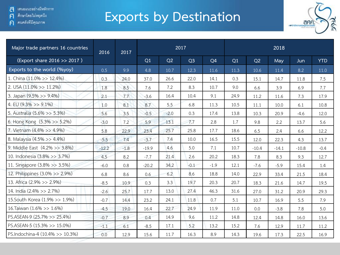ศึกษาโดยไม่หยุดนึง  $\mathsf{F}$ 

คนคลังที่มีคุณภาพ  $\mathbf{E}$ 

# **Exports by Destination**



| Major trade partners 16 countries | 2016    | 2017   |         |        | 2017           |                |      |         |         |         |            |
|-----------------------------------|---------|--------|---------|--------|----------------|----------------|------|---------|---------|---------|------------|
| (Export share 2016 >> 2017)       |         |        | Q1      | Q2     | Q <sub>3</sub> | Q <sub>4</sub> | Q1   | Q2      | May     | Jun     | <b>YTD</b> |
| Exports to the world (%yoy)       | 0.5     | 9.9    | 4.8     | 10.7   | 12.3           | 11.6           | 11.3 | 10.6    | 11.4    | 8.2     | 11.0       |
| 1. China (11.0% >> 12.4%)         | 0.3     | 24.0   | 37.0    | 26.6   | 22.0           | 14.1           | 0.3  | 15.1    | 14.7    | 11.8    | 7.5        |
| 2. USA $(11.0\% >> 11.2\%)$       | 1.8     | 8.5    | 7.6     | 7.2    | 8.3            | 10.7           | 9.0  | 6.6     | 3.9     | 6.9     | 7.7        |
| 3. Japan (9.5% >> 9.4%)           | 2.1     | 7.7    | $-3.6$  | 16.4   | 10.4           | 9.1            | 24.9 | 11.2    | 11.6    | 7.3     | 17.9       |
| 4. EU $(9.3\% > 9.1\%)$           | 1.0     | 8.1    | 8.7     | 5.5    | 6.8            | 11.3           | 10.5 | 11.1    | 10.0    | 6.1     | 10.8       |
| 5. Australia (5.6% >> 5.3%)       | 5.6     | 3.5    | $-0.5$  | $-2.0$ | 0.3            | 17.4           | 13.8 | 10.3    | 20.9    | $-4.6$  | 12.0       |
| 6. Hong Kong (5.3% >> 5.2%)       | $-3.0$  | 7.2    | 5.9     | 13.1   | 7.7            | 2.8            | 1.7  | 9.8     | 2.2     | 13.7    | 5.6        |
| 7. Vietnam (4.4% >> 4.9%)         | 5.8     | 22.9   | 23.4    | 25.7   | 25.8           | 17.7           | 18.6 | 6.5     | 2.4     | 6.6     | 12.2       |
| 8. Malaysia (4.5% >> 4.4%)        | $-5.5$  | 7.4    | $-3.7$  | 7.4    | 10.0           | 16.5           | 15.5 | 12.0    | 22.3    | 4.3     | 13.7       |
| 9. Middle East (4.2% >> 3.8%)     | $-12.2$ | $-1.8$ | $-19.9$ | 4.6    | 5.0            | 7.1            | 10.7 | $-10.4$ | $-14.1$ | $-10.8$ | $-0.4$     |
| 10. Indonesia (3.8% >> 3.7%)      | 4.5     | 8.2    | $-7.7$  | 21.4   | 2.6            | 20.2           | 18.3 | 7.8     | 8.3     | 9.3     | 12.7       |
| 11. Singapore (3.8% >> 3.5%)      | $-6.0$  | 0.8    | $-20.2$ | 34.2   | $-0.1$         | $-1.9$         | 12.1 | $-7.6$  | $-5.9$  | 15.4    | 1.4        |
| 12. Philippines (3.0% >> 2.9%)    | 6.8     | 8.6    | 0.6     | 6.2    | 8.6            | 18.8           | 14.0 | 22.9    | 33.4    | 21.5    | 18.4       |
| 13. Africa (2.9% >> 2.9%)         | $-8.5$  | 10.9   | 0.3     | 3.3    | 19.7           | 20.3           | 20.7 | 18.3    | 21.6    | 14.7    | 19.5       |
| 14. India (2.4% >> 2.7%)          | $-2.6$  | 25.7   | 17.7    | 13.0   | 27.4           | 46.3           | 31.6 | 27.0    | 31.2    | 20.9    | 29.3       |
| 15. South Korea (1.9% >> 1.9%)    | $-0.7$  | 14.4   | 23.2    | 24.1   | 11.8           | 0.7            | 5.1  | 10.7    | 16.9    | 5.5     | 7.9        |
| 16. Taiwan (1.6% >> 1.6%)         | $-4.5$  | 19.0   | 16.4    | 22.7   | 24.9           | 11.9           | 11.0 | 0.0     | $-3.8$  | 7.8     | 5.0        |
| PS.ASEAN-9 (25.7% >> 25.4%)       | $-0.7$  | 8.9    | 0.4     | 14.9   | 9.6            | 11.2           | 14.8 | 12.4    | 14.8    | 16.0    | 13.6       |
| PS.ASEAN-5 (15.3% >> 15.0%)       | $-1.1$  | 6.1    | $-8.5$  | 17.1   | 5.2            | 13.2           | 15.2 | 7.6     | 12.9    | 11.7    | 11.2       |
| PS.Indochina-4 (10.4% >> 10.3%)   | 0.0     | 12.9   | 15.6    | 11.7   | 16.3           | 8.9            | 14.3 | 19.6    | 17.3    | 22.5    | 16.9       |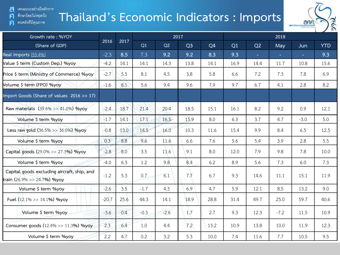a เสนอแนะอย่างมีหลักการ

#### ศึกษาโดยไม่หยุดนึง  $\mathsf{F}$

คนคลังที่มีคุณภาพ  $\bigcap$ 

# **Thailand's Economic Indicators : Imports**



| Growth rate: %YOY                                                          |         |      |        |        | 2017           |      |      |        | 2018   |        |            |
|----------------------------------------------------------------------------|---------|------|--------|--------|----------------|------|------|--------|--------|--------|------------|
| (Share of GDP)                                                             | 2016    | 2017 | Q1     | Q2     | Q <sub>3</sub> | Q4   | Q1   | Q2     | May    | Jun    | <b>YTD</b> |
| Real Imports (55.4%)                                                       | $-2.3$  | 8.5  | 7.3    | 9.2    | 9.2            | 8.3  | 9.3  | $\sim$ | $\sim$ | $\sim$ | 9.3        |
| Value \$ term (Custom Dep.) %yoy                                           | $-4.2$  | 14.1 | 14.1   | 14.3   | 13.8           | 14.1 | 16.9 | 14.4   | 11.7   | 10.8   | 15.6       |
| Price \$ term (Ministry of Commerce) %yoy                                  | $-2.7$  | 5.5  | 8.1    | 4.5    | 3.8            | 5.8  | 6.6  | 7.2    | 7.3    | 7.8    | 6.9        |
| Volume \$ term (FPO) %yoy                                                  | $-1.6$  | 8.1  | 5.6    | 9.4    | 9.6            | 7.9  | 9.7  | 6.7    | 4.1    | 2.8    | 8.2        |
| Import Goods (Share of values 2016 >> 17)                                  |         |      |        |        |                |      |      |        |        |        |            |
| Raw materials (39.6% >> 41.0%) %yoy                                        | $-2.4$  | 18.7 | 21.4   | 20.4   | 18.5           | 15.1 | 16.1 | 8.2    | 9.2    | 0.9    | 12.1       |
| Volume \$ term %yoy                                                        | $-1.7$  | 14.1 | 17.1   | 16.5   | 15.9           | 8.0  | 6.3  | 3.7    | 4.7    | $-3.0$ | 5.0        |
| Less raw gold $(36.5\% >> 36.0\%)$ %yoy                                    | $-0.8$  | 13.0 | 14.5   | 16.0   | 10.3           | 11.6 | 15.4 | 9.9    | 8.4    | 6.5    | 12.5       |
| Volume \$ term %yoy                                                        | 0.3     | 8.8  | 9.6    | 11.6   | 6.6            | 7.6  | 5.6  | 5.4    | 3.9    | 2.8    | 5.5        |
| Capital goods (29.0% >> 27.3%) %yoy                                        | $-2.8$  | 8.0  | 3.5    | 11.6   | 9.1            | 8.0  | 12.0 | 7.9    | 9.8    | 7.8    | 10.0       |
| Volume \$ term %yoy                                                        | $-4.0$  | 6.3  | 1.2    | 9.8    | 8.4            | 6.2  | 8.9  | 5.6    | 7.3    | 6.0    | 7.3        |
| Capital goods excluding aircraft, ship, and<br>train (26.9% >> 24.7%) %yoy | $-1.2$  | 5.3  | 0.7    | 6.1    | 7.7            | 6.7  | 9.3  | 14.6   | 11.1   | 15.1   | 11.9       |
| Volume \$ term %yoy                                                        | $-2.6$  | 3.5  | $-1.7$ | 4.3    | 6.9            | 4.7  | 5.9  | 12.1   | 8.5    | 13.2   | 9.0        |
| Fuel (12.1% >> 14.1%) %yoy                                                 | $-20.7$ | 25.6 | 44.3   | 14.1   | 18.9           | 28.8 | 31.4 | 49.7   | 25.0   | 59.7   | 40.6       |
| Volume \$ term %yoy                                                        | $-3.6$  | 0.4  | $-0.3$ | $-2.6$ | 1.7            | 2.7  | 9.3  | 12.3   | $-7.2$ | 11.5   | 10.9       |
| Consumer goods (12.4% >> 11.3%) %yoy                                       | 2.3     | 6.4  | 1.0    | 4.4    | 7.2            | 13.2 | 10.9 | 13.8   | 10.0   | 11.9   | 12.3       |
| Volume \$ term %yoy                                                        | 2.2     | 4.7  | 0.2    | 3.2    | 5.3            | 10.0 | 7.4  | 11.6   | 7.7    | 10.5   | 9.5        |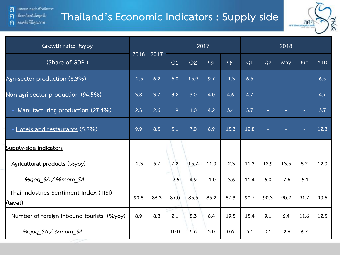### a เสนอแนะอย่างมีหลักการ ศึกษาโดยไม่หยุดนึง

คนคลังที่มีคุณภาพ

 $\mathsf{F}$ 

 $\mathsf{P}$ 

### **Thailand's Economic Indicators : Supply side**



| Growth rate: %yoy                                 |        | 2017 |        |      |                |                | 2018 |      |        |                          |                          |
|---------------------------------------------------|--------|------|--------|------|----------------|----------------|------|------|--------|--------------------------|--------------------------|
| (Share of GDP)                                    | 2016   | 2017 | Q1     | Q2   | Q <sub>3</sub> | Q <sub>4</sub> | Q1   | Q2   | May    | Jun                      | <b>YTD</b>               |
| Agri-sector production (6.3%)                     | $-2.5$ | 6.2  | 6.0    | 15.9 | 9.7            | $-1.3$         | 6.5  | ÷    | ٠      | $\blacksquare$           | 6.5                      |
| Non-agri-sector production (94.5%)                | 3.8    | 3.7  | 3.2    | 3.0  | 4.0            | 4.6            | 4.7  | н    | ٠      | $\overline{\phantom{a}}$ | 4.7                      |
| Manufacturing production (27.4%)                  | 2.3    | 2.6  | 1.9    | 1.0  | 4.2            | 3.4            | 3.7  | н    | ÷      | ÷                        | 3.7                      |
| - Hotels and restaurants (5.8%)                   | 9.9    | 8.5  | 5.1    | 7.0  | 6.9            | 15.3           | 12.8 | н    | н      | $\sim$                   | 12.8                     |
| Supply-side indicators                            |        |      |        |      |                |                |      |      |        |                          |                          |
| Agricultural products (%yoy)                      | $-2.3$ | 5.7  | 7.2    | 15.7 | 11.0           | $-2.3$         | 11.3 | 12.9 | 13.5   | 8.2                      | 12.0                     |
| %qoq_SA / %mom_SA                                 |        |      | $-2.6$ | 4.9  | $-1.0$         | $-3.6$         | 11.4 | 6.0  | $-7.6$ | $-5.1$                   | $\overline{\phantom{a}}$ |
| Thai Industries Sentiment Index (TISI)<br>(level) | 90.8   | 86.3 | 87.0   | 85.5 | 85.2           | 87.3           | 90.7 | 90.3 | 90.2   | 91.7                     | 90.6                     |
| Number of foreign inbound tourists (%yoy)         | 8.9    | 8.8  | 2.1    | 8.3  | 6.4            | 19.5           | 15.4 | 9.1  | 6.4    | 11.6                     | 12.5                     |
| %gog SA / %mom SA                                 |        |      | 10.0   | 5.6  | 3.0            | 0.6            | 5.1  | 0.1  | $-2.6$ | 6.7                      |                          |